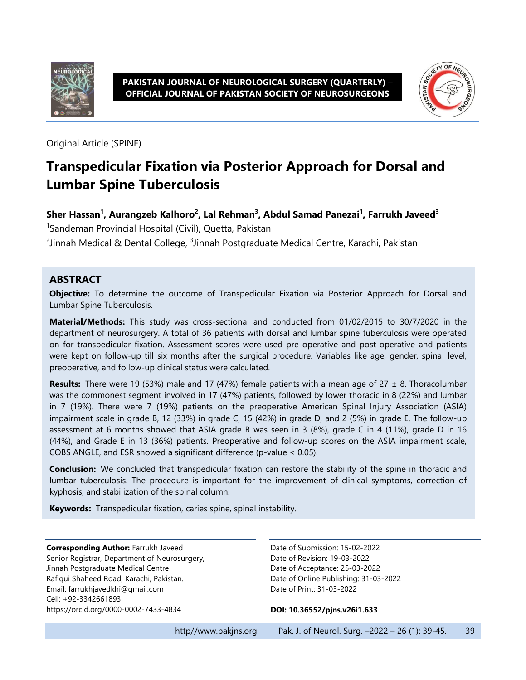



Original Article (SPINE)

# **Transpedicular Fixation via Posterior Approach for Dorsal and Lumbar Spine Tuberculosis**

#### **Sher Hassan<sup>1</sup> , Aurangzeb Kalhoro<sup>2</sup> , Lal Rehman<sup>3</sup> , Abdul Samad Panezai<sup>1</sup> , Farrukh Javeed<sup>3</sup>**

<sup>1</sup>Sandeman Provincial Hospital (Civil), Quetta, Pakistan

 $^{2}$ Jinnah Medical & Dental College,  $^{3}$ Jinnah Postgraduate Medical Centre, Karachi, Pakistan

#### **ABSTRACT**

**Objective:** To determine the outcome of Transpedicular Fixation via Posterior Approach for Dorsal and Lumbar Spine Tuberculosis.

**Material/Methods:** This study was cross-sectional and conducted from 01/02/2015 to 30/7/2020 in the department of neurosurgery. A total of 36 patients with dorsal and lumbar spine tuberculosis were operated on for transpedicular fixation. Assessment scores were used pre-operative and post-operative and patients were kept on follow-up till six months after the surgical procedure. Variables like age, gender, spinal level, preoperative, and follow-up clinical status were calculated.

**Results:** There were 19 (53%) male and 17 (47%) female patients with a mean age of 27 ± 8. Thoracolumbar was the commonest segment involved in 17 (47%) patients, followed by lower thoracic in 8 (22%) and lumbar in 7 (19%). There were 7 (19%) patients on the preoperative American Spinal Injury Association (ASIA) impairment scale in grade B, 12 (33%) in grade C, 15 (42%) in grade D, and 2 (5%) in grade E. The follow-up assessment at 6 months showed that ASIA grade B was seen in 3 (8%), grade C in 4 (11%), grade D in 16 (44%), and Grade E in 13 (36%) patients. Preoperative and follow-up scores on the ASIA impairment scale, COBS ANGLE, and ESR showed a significant difference (p-value < 0.05).

**Conclusion:** We concluded that transpedicular fixation can restore the stability of the spine in thoracic and lumbar tuberculosis. The procedure is important for the improvement of clinical symptoms, correction of kyphosis, and stabilization of the spinal column.

**Keywords:** Transpedicular fixation, caries spine, spinal instability.

**Corresponding Author:** Farrukh Javeed Senior Registrar, Department of Neurosurgery, Jinnah Postgraduate Medical Centre Rafiqui Shaheed Road, Karachi, Pakistan. Email[: farrukhjavedkhi@gmail.com](mailto:farrukhjavedkhi@gmail.com) Cell: +92-3342661893 <https://orcid.org/0000-0002-7433-4834>

Date of Submission: 15-02-2022 Date of Revision: 19-03-2022 Date of Acceptance: 25-03-2022 Date of Online Publishing: 31-03-2022 Date of Print: 31-03-2022

#### **DOI: 10.36552/pjns.v26i1.633**

http//www.pakjns.org Pak. J. of Neurol. Surg. -2022 - 26 (1): 39-45. 39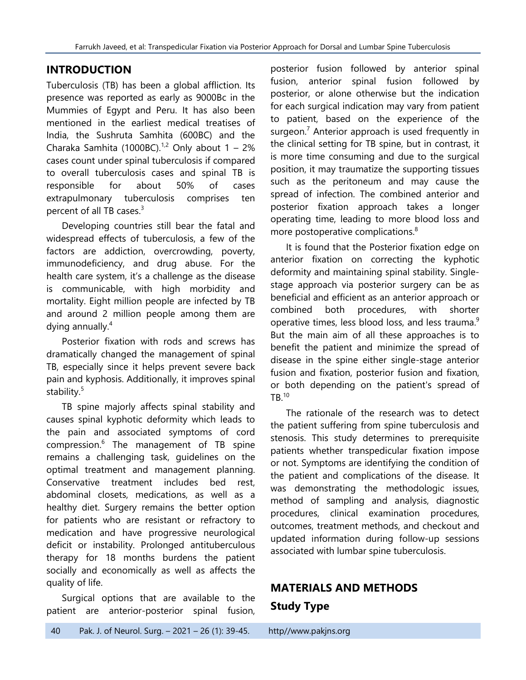# **INTRODUCTION**

Tuberculosis (TB) has been a global affliction. Its presence was reported as early as 9000Bc in the Mummies of Egypt and Peru. It has also been mentioned in the earliest medical treatises of India, the Sushruta Samhita (600BC) and the Charaka Samhita (1000BC).<sup>1,2</sup> Only about  $1 - 2\%$ cases count under spinal tuberculosis if compared to overall tuberculosis cases and spinal TB is responsible for about 50% of cases extrapulmonary tuberculosis comprises ten percent of all TB cases.<sup>3</sup>

Developing countries still bear the fatal and widespread effects of tuberculosis, a few of the factors are addiction, overcrowding, poverty, immunodeficiency, and drug abuse. For the health care system, it's a challenge as the disease is communicable, with high morbidity and mortality. Eight million people are infected by TB and around 2 million people among them are dying annually.<sup>4</sup>

Posterior fixation with rods and screws has dramatically changed the management of spinal TB, especially since it helps prevent severe back pain and kyphosis. Additionally, it improves spinal stability.<sup>5</sup>

TB spine majorly affects spinal stability and causes spinal kyphotic deformity which leads to the pain and associated symptoms of cord compression.<sup>6</sup> The management of TB spine remains a challenging task, guidelines on the optimal treatment and management planning. Conservative treatment includes bed rest, abdominal closets, medications, as well as a healthy diet. Surgery remains the better option for patients who are resistant or refractory to medication and have progressive neurological deficit or instability. Prolonged antituberculous therapy for 18 months burdens the patient socially and economically as well as affects the quality of life.

Surgical options that are available to the patient are anterior-posterior spinal fusion,

posterior fusion followed by anterior spinal fusion, anterior spinal fusion followed by posterior, or alone otherwise but the indication for each surgical indication may vary from patient to patient, based on the experience of the surgeon.<sup>7</sup> Anterior approach is used frequently in the clinical setting for TB spine, but in contrast, it is more time consuming and due to the surgical position, it may traumatize the supporting tissues such as the peritoneum and may cause the spread of infection. The combined anterior and posterior fixation approach takes a longer operating time, leading to more blood loss and more postoperative complications.<sup>8</sup>

It is found that the Posterior fixation edge on anterior fixation on correcting the kyphotic deformity and maintaining spinal stability. Singlestage approach via posterior surgery can be as beneficial and efficient as an anterior approach or combined both procedures, with shorter operative times, less blood loss, and less trauma.<sup>9</sup> But the main aim of all these approaches is to benefit the patient and minimize the spread of disease in the spine either single-stage anterior fusion and fixation, posterior fusion and fixation, or both depending on the patient's spread of  $TB.^{10}$ 

The rationale of the research was to detect the patient suffering from spine tuberculosis and stenosis. This study determines to prerequisite patients whether transpedicular fixation impose or not. Symptoms are identifying the condition of the patient and complications of the disease. It was demonstrating the methodologic issues, method of sampling and analysis, diagnostic procedures, clinical examination procedures, outcomes, treatment methods, and checkout and updated information during follow-up sessions associated with lumbar spine tuberculosis.

# **MATERIALS AND METHODS Study Type**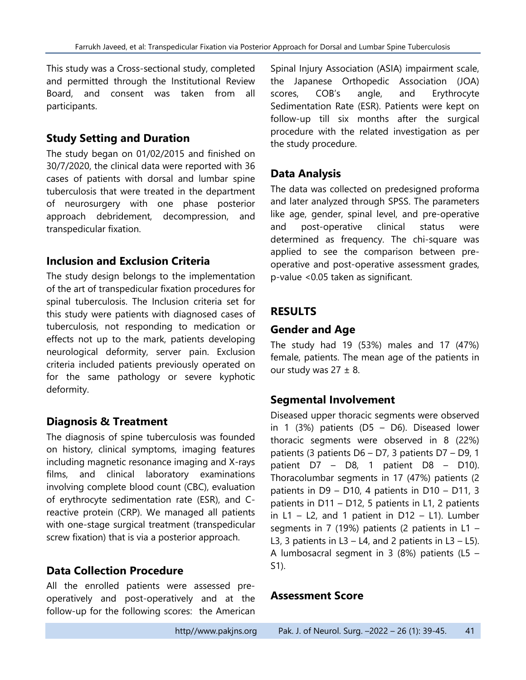This study was a Cross-sectional study, completed and permitted through the Institutional Review Board, and consent was taken from all participants.

#### **Study Setting and Duration**

The study began on 01/02/2015 and finished on 30/7/2020, the clinical data were reported with 36 cases of patients with dorsal and lumbar spine tuberculosis that were treated in the department of neurosurgery with one phase posterior approach debridement, decompression, and transpedicular fixation.

## **Inclusion and Exclusion Criteria**

The study design belongs to the implementation of the art of transpedicular fixation procedures for spinal tuberculosis. The Inclusion criteria set for this study were patients with diagnosed cases of tuberculosis, not responding to medication or effects not up to the mark, patients developing neurological deformity, server pain. Exclusion criteria included patients previously operated on for the same pathology or severe kyphotic deformity.

## **Diagnosis & Treatment**

The diagnosis of spine tuberculosis was founded on history, clinical symptoms, imaging features including magnetic resonance imaging and X-rays films, and clinical laboratory examinations involving complete blood count (CBC), evaluation of erythrocyte sedimentation rate (ESR), and Creactive protein (CRP). We managed all patients with one-stage surgical treatment (transpedicular screw fixation) that is via a posterior approach.

## **Data Collection Procedure**

All the enrolled patients were assessed preoperatively and post-operatively and at the follow-up for the following scores: the American

Spinal Injury Association (ASIA) impairment scale, the Japanese Orthopedic Association (JOA) scores, COB's angle, and Erythrocyte Sedimentation Rate (ESR). Patients were kept on follow-up till six months after the surgical procedure with the related investigation as per the study procedure.

# **Data Analysis**

The data was collected on predesigned proforma and later analyzed through SPSS. The parameters like age, gender, spinal level, and pre-operative and post-operative clinical status were determined as frequency. The chi-square was applied to see the comparison between preoperative and post-operative assessment grades, p-value <0.05 taken as significant.

## **RESULTS**

## **Gender and Age**

The study had 19 (53%) males and 17 (47%) female, patients. The mean age of the patients in our study was  $27 \pm 8$ .

## **Segmental Involvement**

Diseased upper thoracic segments were observed in 1 (3%) patients (D5 – D6). Diseased lower thoracic segments were observed in 8 (22%) patients (3 patients D6 – D7, 3 patients D7 – D9, 1 patient D7 – D8, 1 patient D8 – D10). Thoracolumbar segments in 17 (47%) patients (2 patients in D9 – D10, 4 patients in D10 – D11, 3 patients in D11 – D12, 5 patients in L1, 2 patients in  $L1 - L2$ , and 1 patient in  $D12 - L1$ ). Lumber segments in 7 (19%) patients (2 patients in L1 – L3, 3 patients in L3 – L4, and 2 patients in L3 – L5). A lumbosacral segment in 3 (8%) patients (L5 – S1).

#### **Assessment Score**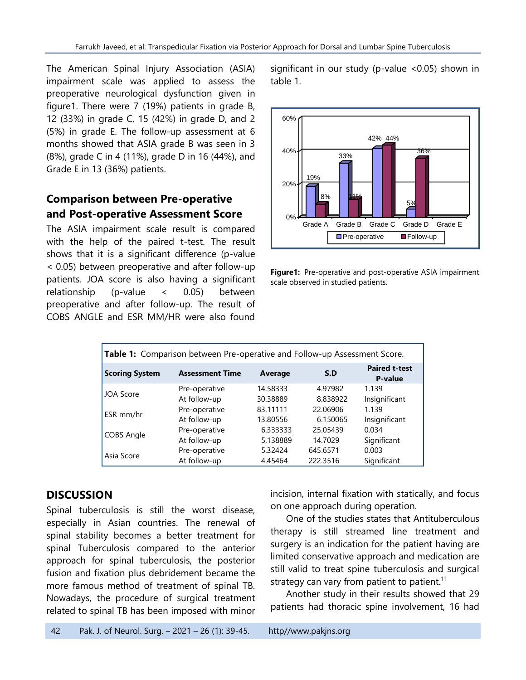The American Spinal Injury Association (ASIA) impairment scale was applied to assess the preoperative neurological dysfunction given in figure1. There were 7 (19%) patients in grade B, 12 (33%) in grade C, 15 (42%) in grade D, and 2 (5%) in grade E. The follow-up assessment at 6 months showed that ASIA grade B was seen in 3 (8%), grade C in 4 (11%), grade D in 16 (44%), and Grade E in 13 (36%) patients.

# **Comparison between Pre-operative and Post-operative Assessment Score**

The ASIA impairment scale result is compared with the help of the paired t-test. The result shows that it is a significant difference (p-value < 0.05) between preoperative and after follow-up patients. JOA score is also having a significant relationship (p-value < 0.05) between preoperative and after follow-up. The result of COBS ANGLE and ESR MM/HR were also found

significant in our study (p-value <0.05) shown in table 1.



**Figure1:** Pre-operative and post-operative ASIA impairment scale observed in studied patients.

| Table 1: Comparison between Pre-operative and Follow-up Assessment Score. |                        |          |          |                                 |  |
|---------------------------------------------------------------------------|------------------------|----------|----------|---------------------------------|--|
| <b>Scoring System</b>                                                     | <b>Assessment Time</b> | Average  | S.D      | <b>Paired t-test</b><br>P-value |  |
| <b>JOA Score</b>                                                          | Pre-operative          | 14.58333 | 4.97982  | 1.139                           |  |
|                                                                           | At follow-up           | 30.38889 | 8.838922 | Insignificant                   |  |
| ESR mm/hr                                                                 | Pre-operative          | 83.11111 | 22.06906 | 1.139                           |  |
|                                                                           | At follow-up           | 13.80556 | 6.150065 | Insignificant                   |  |
| <b>COBS Angle</b>                                                         | Pre-operative          | 6.333333 | 25.05439 | 0.034                           |  |
|                                                                           | At follow-up           | 5.138889 | 14.7029  | Significant                     |  |
| Asia Score                                                                | Pre-operative          | 5.32424  | 645.6571 | 0.003                           |  |
|                                                                           | At follow-up           | 4.45464  | 222.3516 | Significant                     |  |

## **DISCUSSION**

Spinal tuberculosis is still the worst disease, especially in Asian countries. The renewal of spinal stability becomes a better treatment for spinal Tuberculosis compared to the anterior approach for spinal tuberculosis, the posterior fusion and fixation plus debridement became the more famous method of treatment of spinal TB. Nowadays, the procedure of surgical treatment related to spinal TB has been imposed with minor incision, internal fixation with statically, and focus on one approach during operation.

One of the studies states that Antituberculous therapy is still streamed line treatment and surgery is an indication for the patient having are limited conservative approach and medication are still valid to treat spine tuberculosis and surgical strategy can vary from patient to patient.<sup>11</sup>

Another study in their results showed that 29 patients had thoracic spine involvement, 16 had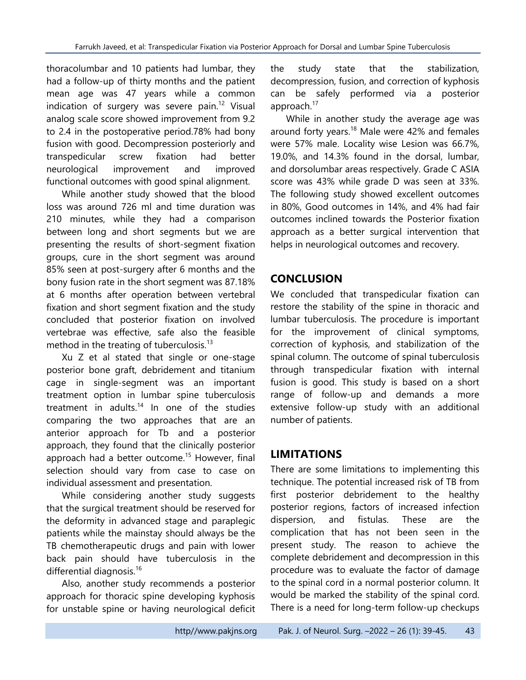thoracolumbar and 10 patients had lumbar, they had a follow-up of thirty months and the patient mean age was 47 years while a common indication of surgery was severe pain.<sup>12</sup> Visual analog scale score showed improvement from 9.2 to 2.4 in the postoperative period.78% had bony fusion with good. Decompression posteriorly and transpedicular screw fixation had better neurological improvement and improved functional outcomes with good spinal alignment.

While another study showed that the blood loss was around 726 ml and time duration was 210 minutes, while they had a comparison between long and short segments but we are presenting the results of short-segment fixation groups, cure in the short segment was around 85% seen at post-surgery after 6 months and the bony fusion rate in the short segment was 87.18% at 6 months after operation between vertebral fixation and short segment fixation and the study concluded that posterior fixation on involved vertebrae was effective, safe also the feasible method in the treating of tuberculosis.<sup>13</sup>

Xu Z et al stated that single or one-stage posterior bone graft, debridement and titanium cage in single-segment was an important treatment option in lumbar spine tuberculosis treatment in adults. <sup>14</sup> In one of the studies comparing the two approaches that are an anterior approach for Tb and a posterior approach, they found that the clinically posterior approach had a better outcome.<sup>15</sup> However, final selection should vary from case to case on individual assessment and presentation.

While considering another study suggests that the surgical treatment should be reserved for the deformity in advanced stage and paraplegic patients while the mainstay should always be the TB chemotherapeutic drugs and pain with lower back pain should have tuberculosis in the differential diagnosis.<sup>16</sup>

Also, another study recommends a posterior approach for thoracic spine developing kyphosis for unstable spine or having neurological deficit the study state that the stabilization, decompression, fusion, and correction of kyphosis can be safely performed via a posterior approach.<sup>17</sup>

While in another study the average age was around forty years.<sup>18</sup> Male were 42% and females were 57% male. Locality wise Lesion was 66.7%, 19.0%, and 14.3% found in the dorsal, lumbar, and dorsolumbar areas respectively. Grade C ASIA score was 43% while grade D was seen at 33%. The following study showed excellent outcomes in 80%, Good outcomes in 14%, and 4% had fair outcomes inclined towards the Posterior fixation approach as a better surgical intervention that helps in neurological outcomes and recovery.

# **CONCLUSION**

We concluded that transpedicular fixation can restore the stability of the spine in thoracic and lumbar tuberculosis. The procedure is important for the improvement of clinical symptoms, correction of kyphosis, and stabilization of the spinal column. The outcome of spinal tuberculosis through transpedicular fixation with internal fusion is good. This study is based on a short range of follow-up and demands a more extensive follow-up study with an additional number of patients.

# **LIMITATIONS**

There are some limitations to implementing this technique. The potential increased risk of TB from first posterior debridement to the healthy posterior regions, factors of increased infection dispersion, and fistulas. These are the complication that has not been seen in the present study. The reason to achieve the complete debridement and decompression in this procedure was to evaluate the factor of damage to the spinal cord in a normal posterior column. It would be marked the stability of the spinal cord. There is a need for long-term follow-up checkups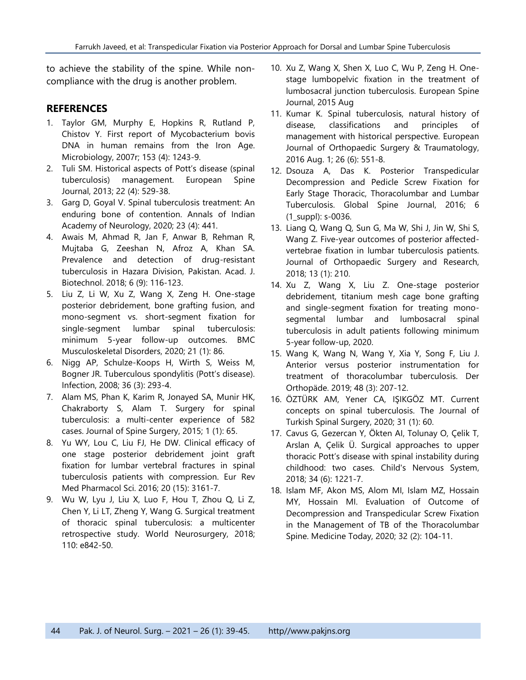to achieve the stability of the spine. While noncompliance with the drug is another problem.

#### **REFERENCES**

- 1. Taylor GM, Murphy E, Hopkins R, Rutland P, Chistov Y. First report of Mycobacterium bovis DNA in human remains from the Iron Age. Microbiology, 2007r; 153 (4): 1243-9.
- 2. Tuli SM. Historical aspects of Pott's disease (spinal tuberculosis) management. European Spine Journal, 2013; 22 (4): 529-38.
- 3. Garg D, Goyal V. Spinal tuberculosis treatment: An enduring bone of contention. Annals of Indian Academy of Neurology, 2020; 23 (4): 441.
- 4. Awais M, Ahmad R, Jan F, Anwar B, Rehman R, Mujtaba G, Zeeshan N, Afroz A, Khan SA. Prevalence and detection of drug-resistant tuberculosis in Hazara Division, Pakistan. Acad. J. Biotechnol. 2018; 6 (9): 116-123.
- 5. Liu Z, Li W, Xu Z, Wang X, Zeng H. One-stage posterior debridement, bone grafting fusion, and mono-segment vs. short-segment fixation for single-segment lumbar spinal tuberculosis: minimum 5-year follow-up outcomes. BMC Musculoskeletal Disorders, 2020; 21 (1): 86.
- 6. Nigg AP, Schulze-Koops H, Wirth S, Weiss M, Bogner JR. Tuberculous spondylitis (Pott's disease). Infection, 2008; 36 (3): 293-4.
- 7. Alam MS, Phan K, Karim R, Jonayed SA, Munir HK, Chakraborty S, Alam T. Surgery for spinal tuberculosis: a multi-center experience of 582 cases. Journal of Spine Surgery, 2015; 1 (1): 65.
- 8. Yu WY, Lou C, Liu FJ, He DW. Clinical efficacy of one stage posterior debridement joint graft fixation for lumbar vertebral fractures in spinal tuberculosis patients with compression. Eur Rev Med Pharmacol Sci. 2016; 20 (15): 3161-7.
- 9. Wu W, Lyu J, Liu X, Luo F, Hou T, Zhou Q, Li Z, Chen Y, Li LT, Zheng Y, Wang G. Surgical treatment of thoracic spinal tuberculosis: a multicenter retrospective study. World Neurosurgery, 2018; 110: e842-50.
- 10. Xu Z, Wang X, Shen X, Luo C, Wu P, Zeng H. Onestage lumbopelvic fixation in the treatment of lumbosacral junction tuberculosis. European Spine Journal, 2015 Aug
- 11. Kumar K. Spinal tuberculosis, natural history of disease, classifications and principles of management with historical perspective. European Journal of Orthopaedic Surgery & Traumatology, 2016 Aug. 1; 26 (6): 551-8.
- 12. Dsouza A, Das K. Posterior Transpedicular Decompression and Pedicle Screw Fixation for Early Stage Thoracic, Thoracolumbar and Lumbar Tuberculosis. Global Spine Journal, 2016; 6 (1\_suppl): s-0036.
- 13. Liang Q, Wang Q, Sun G, Ma W, Shi J, Jin W, Shi S, Wang Z. Five-year outcomes of posterior affectedvertebrae fixation in lumbar tuberculosis patients. Journal of Orthopaedic Surgery and Research, 2018; 13 (1): 210.
- 14. Xu Z, Wang X, Liu Z. One-stage posterior debridement, titanium mesh cage bone grafting and single-segment fixation for treating monosegmental lumbar and lumbosacral spinal tuberculosis in adult patients following minimum 5-year follow-up, 2020.
- 15. Wang K, Wang N, Wang Y, Xia Y, Song F, Liu J. Anterior versus posterior instrumentation for treatment of thoracolumbar tuberculosis. Der Orthopäde. 2019; 48 (3): 207-12.
- 16. ÖZTÜRK AM, Yener CA, IŞIKGÖZ MT. Current concepts on spinal tuberculosis. The Journal of Turkish Spinal Surgery, 2020; 31 (1): 60.
- 17. Cavus G, Gezercan Y, Ökten AI, Tolunay O, Çelik T, Arslan A, Çelik Ü. Surgical approaches to upper thoracic Pott's disease with spinal instability during childhood: two cases. Child's Nervous System, 2018; 34 (6): 1221-7.
- 18. Islam MF, Akon MS, Alom MI, Islam MZ, Hossain MY, Hossain MI. Evaluation of Outcome of Decompression and Transpedicular Screw Fixation in the Management of TB of the Thoracolumbar Spine. Medicine Today, 2020; 32 (2): 104-11.